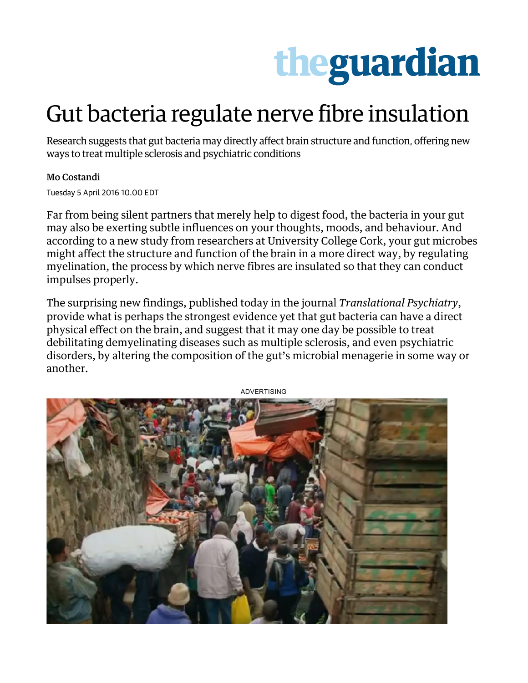# theguardian

## Gut bacteria regulate nerve fibre insulation

Research suggests that gut bacteria may directly affect brain structure and function, offering new ways to treat multiple sclerosis and psychiatric conditions

#### Mo Costandi

Tuesday 5 April 2016 10.00 EDT

Far from being silent partners that merely help to digest food, the bacteria in your gut may also be exerting subtle influences on your thoughts, moods, and behaviour. And according to a new study from researchers at University College Cork, your gut microbes might affect the structure and function of the brain in a more direct way, by regulating myelination, the process by which nerve fibres are insulated so that they can conduct impulses properly.

The surprising new findings, published today in the journal *Translational Psychiatry*, provide what is perhaps the strongest evidence yet that gut bacteria can have a direct physical effect on the brain, and suggest that it may one day be possible to treat debilitating demyelinating diseases such as multiple sclerosis, and even psychiatric disorders, by altering the composition of the gut's microbial menagerie in some way or another.

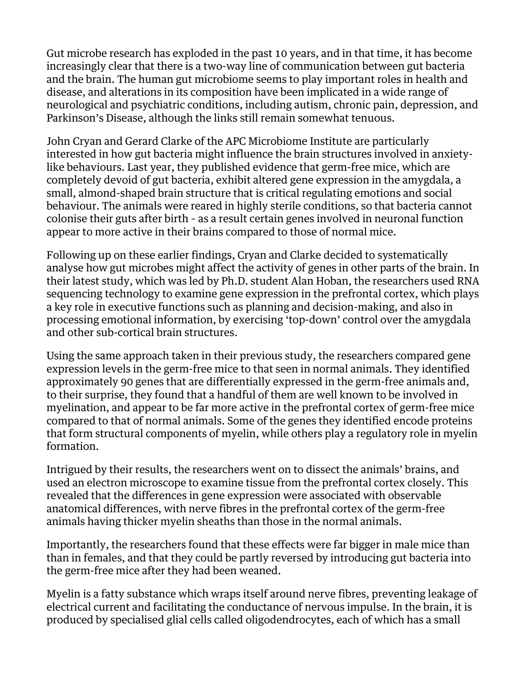Gut microbe research has exploded in the past 10 years, and in that time, it has become increasingly clear that there is a two-way line of communication between gut bacteria and the brain. The human gut microbiome seems to play important roles in health and disease, and alterations in its composition have been implicated in a wide range of neurological and psychiatric conditions, including autism, chronic pain, depression, and Parkinson's Disease, although the links still remain somewhat tenuous.

John Cryan and Gerard Clarke of the APC Microbiome Institute are particularly interested in how gut bacteria might influence the brain structures involved in anxietylike behaviours. Last year, they published evidence that germ-free mice, which are completely devoid of gut bacteria, exhibit altered gene expression in the amygdala, a small, almond-shaped brain structure that is critical regulating emotions and social behaviour. The animals were reared in highly sterile conditions, so that bacteria cannot colonise their guts after birth – as a result certain genes involved in neuronal function appear to more active in their brains compared to those of normal mice.

Following up on these earlier findings, Cryan and Clarke decided to systematically analyse how gut microbes might affect the activity of genes in other parts of the brain. In their latest study, which was led by Ph.D. student Alan Hoban, the researchers used RNA sequencing technology to examine gene expression in the prefrontal cortex, which plays a key role in executive functions such as planning and decision-making, and also in processing emotional information, by exercising 'top-down' control over the amygdala and other sub-cortical brain structures.

Using the same approach taken in their previous study, the researchers compared gene expression levels in the germ-free mice to that seen in normal animals. They identified approximately 90 genes that are differentially expressed in the germ-free animals and, to their surprise, they found that a handful of them are well known to be involved in myelination, and appear to be far more active in the prefrontal cortex of germ-free mice compared to that of normal animals. Some of the genes they identified encode proteins that form structural components of myelin, while others play a regulatory role in myelin formation.

Intrigued by their results, the researchers went on to dissect the animals' brains, and used an electron microscope to examine tissue from the prefrontal cortex closely. This revealed that the differences in gene expression were associated with observable anatomical differences, with nerve fibres in the prefrontal cortex of the germ-free animals having thicker myelin sheaths than those in the normal animals.

Importantly, the researchers found that these effects were far bigger in male mice than than in females, and that they could be partly reversed by introducing gut bacteria into the germ-free mice after they had been weaned.

Myelin is a fatty substance which wraps itself around nerve fibres, preventing leakage of electrical current and facilitating the conductance of nervous impulse. In the brain, it is produced by specialised glial cells called oligodendrocytes, each of which has a small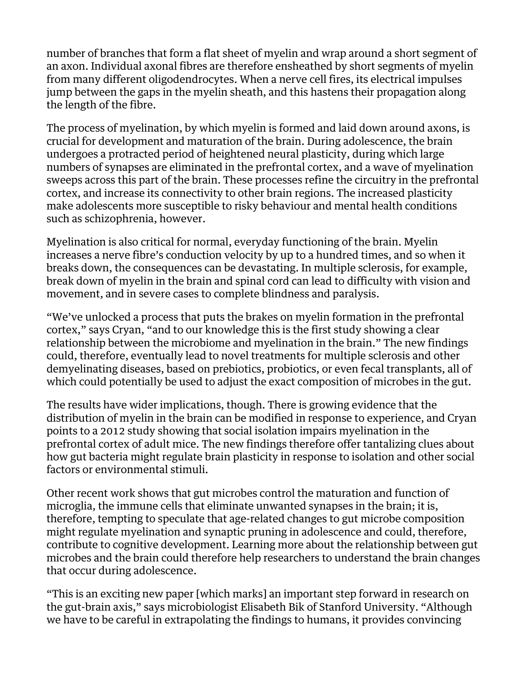number of branches that form a flat sheet of myelin and wrap around a short segment of an axon. Individual axonal fibres are therefore ensheathed by short segments of myelin from many different oligodendrocytes. When a nerve cell fires, its electrical impulses jump between the gaps in the myelin sheath, and this hastens their propagation along the length of the fibre.

The process of myelination, by which myelin is formed and laid down around axons, is crucial for development and maturation of the brain. During adolescence, the brain undergoes a protracted period of heightened neural plasticity, during which large numbers of synapses are eliminated in the prefrontal cortex, and a wave of myelination sweeps across this part of the brain. These processes refine the circuitry in the prefrontal cortex, and increase its connectivity to other brain regions. The increased plasticity make adolescents more susceptible to risky behaviour and mental health conditions such as schizophrenia, however.

Myelination is also critical for normal, everyday functioning of the brain. Myelin increases a nerve fibre's conduction velocity by up to a hundred times, and so when it breaks down, the consequences can be devastating. In multiple sclerosis, for example, break down of myelin in the brain and spinal cord can lead to difficulty with vision and movement, and in severe cases to complete blindness and paralysis.

"We've unlocked a process that puts the brakes on myelin formation in the prefrontal cortex," says Cryan, "and to our knowledge this is the first study showing a clear relationship between the microbiome and myelination in the brain." The new findings could, therefore, eventually lead to novel treatments for multiple sclerosis and other demyelinating diseases, based on prebiotics, probiotics, or even fecal transplants, all of which could potentially be used to adjust the exact composition of microbes in the gut.

The results have wider implications, though. There is growing evidence that the distribution of myelin in the brain can be modified in response to experience, and Cryan points to a 2012 study showing that social isolation impairs myelination in the prefrontal cortex of adult mice. The new findings therefore offer tantalizing clues about how gut bacteria might regulate brain plasticity in response to isolation and other social factors or environmental stimuli.

Other recent work shows that gut microbes control the maturation and function of microglia, the immune cells that eliminate unwanted synapses in the brain; it is, therefore, tempting to speculate that age-related changes to gut microbe composition might regulate myelination and synaptic pruning in adolescence and could, therefore, contribute to cognitive development. Learning more about the relationship between gut microbes and the brain could therefore help researchers to understand the brain changes that occur during adolescence.

"This is an exciting new paper [which marks] an important step forward in research on the gut-brain axis," says microbiologist Elisabeth Bik of Stanford University. "Although we have to be careful in extrapolating the findings to humans, it provides convincing